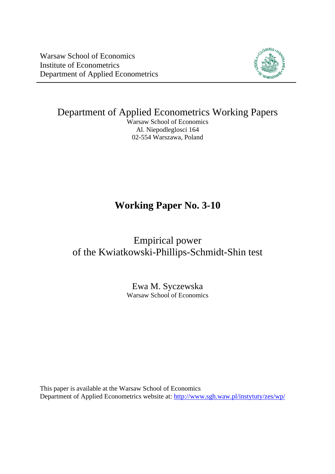Warsaw School of Economics Institute of Econometrics Department of Applied Econometrics



Department of Applied Econometrics Working Papers

Warsaw School of Economics Al. Niepodleglosci 164 02-554 Warszawa, Poland

# **Working Paper No. 3-10**

Empirical power of the Kwiatkowski-Phillips-Schmidt-Shin test

> Ewa M. Syczewska Warsaw School of Economics

This paper is available at the Warsaw School of Economics Department of Applied Econometrics website at: <http://www.sgh.waw.pl/instytuty/zes/wp/>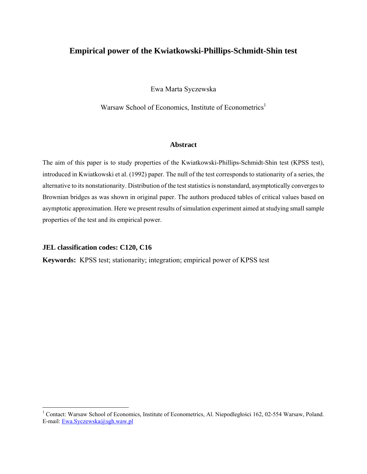# **Empirical power of the Kwiatkowski-Phillips-Schmidt-Shin test**

Ewa Marta Syczewska

Warsaw School of Economics, Institute of Econometrics<sup>[1](#page-1-0)</sup>

### **Abstract**

The aim of this paper is to study properties of the Kwiatkowski-Phillips-Schmidt-Shin test (KPSS test), introduced in Kwiatkowski et al. (1992) paper. The null of the test corresponds to stationarity of a series, the alternative to its nonstationarity. Distribution of the test statistics is nonstandard, asymptotically converges to Brownian bridges as was shown in original paper. The authors produced tables of critical values based on asymptotic approximation. Here we present results of simulation experiment aimed at studying small sample properties of the test and its empirical power.

### **JEL classification codes: C120, C16**

 $\overline{a}$ 

**Keywords:** KPSS test; stationarity; integration; empirical power of KPSS test

<span id="page-1-0"></span><sup>&</sup>lt;sup>1</sup> Contact: Warsaw School of Economics, Institute of Econometrics, Al. Niepodległości 162, 02-554 Warsaw, Poland. E-mail: [Ewa.Syczewska@sgh.waw.pl](mailto:Ewa.Syczewska@sgh.waw.pl)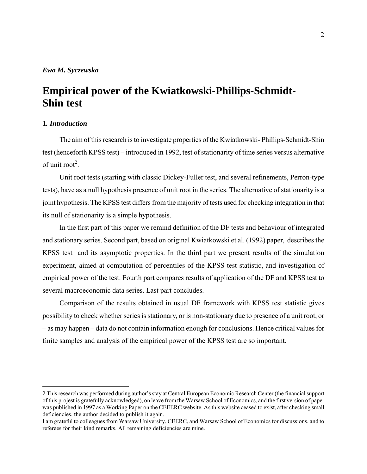# **Empirical power of the Kwiatkowski-Phillips-Schmidt-Shin test**

### **1***. Introduction*

 $\overline{a}$ 

The aim of this research is to investigate properties of the Kwiatkowski- Phillips-Schmidt-Shin test (henceforth KPSS test) – introduced in 1992, test of stationarity of time series versus alternative of unit root<sup>[2](#page-2-0)</sup>.

Unit root tests (starting with classic Dickey-Fuller test, and several refinements, Perron-type tests), have as a null hypothesis presence of unit root in the series. The alternative of stationarity is a joint hypothesis. The KPSS test differs from the majority of tests used for checking integration in that its null of stationarity is a simple hypothesis.

In the first part of this paper we remind definition of the DF tests and behaviour of integrated and stationary series. Second part, based on original Kwiatkowski et al. (1992) paper, describes the KPSS test and its asymptotic properties. In the third part we present results of the simulation experiment, aimed at computation of percentiles of the KPSS test statistic, and investigation of empirical power of the test. Fourth part compares results of application of the DF and KPSS test to several macroeconomic data series. Last part concludes.

Comparison of the results obtained in usual DF framework with KPSS test statistic gives possibility to check whether series is stationary, or is non-stationary due to presence of a unit root, or – as may happen – data do not contain information enough for conclusions. Hence critical values for finite samples and analysis of the empirical power of the KPSS test are so important.

<span id="page-2-0"></span><sup>2</sup> This research was performed during author's stay at Central European Economic Research Center (the financial support of this projest is gratefully acknowledged), on leave from the Warsaw School of Economics, and the first version of paper was published in 1997 as a Working Paper on the CEEERC website. As this website ceased to exist, after checking small deficiencies, the author decided to publish it again.

I am grateful to colleagues from Warsaw University, CEERC, and Warsaw School of Economics for discussions, and to referees for their kind remarks. All remaining deficiencies are mine.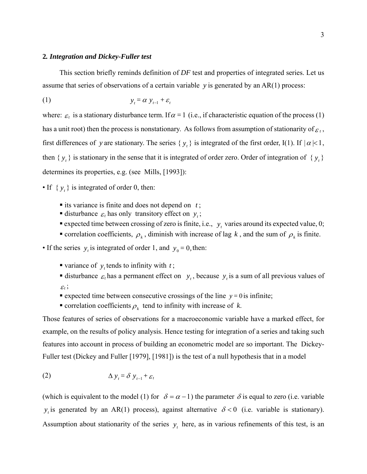#### **2***. Integration and Dickey-Fuller test*

This section briefly reminds definition of *DF* test and properties of integrated series. Let us assume that series of observations of a certain variable *y* is generated by an AR(1) process:

$$
(1) \t\t\t y_t = \alpha \t y_{t-1} + \varepsilon_t
$$

where:  $\varepsilon_t$  is a stationary disturbance term. If  $\alpha = 1$  (i.e., if characteristic equation of the process (1) has a unit root) then the process is nonstationary. As follows from assumption of stationarity of  $\varepsilon_t$ , first differences of *y* are stationary. The series  $\{y_t\}$  is integrated of the first order, I(1). If  $|\alpha| < 1$ , then  $\{y_t\}$  is stationary in the sense that it is integrated of order zero. Order of integration of  $\{y_t\}$ determines its properties, e.g. (see Mills, [1993]):

- If  $\{y_t\}$  is integrated of order 0, then:
	- its variance is finite and does not depend on  $t$ ;
	- disturbance  $\varepsilon_t$  has only transitory effect on  $y_t$ ;
	- expected time between crossing of zero is finite, i.e.,  $y_t$  varies around its expected value, 0;
	- **correlation coefficients,**  $\rho_k$ **, diminish with increase of lag k, and the sum of**  $\rho_k$  **is finite.**
- If the series  $y_t$  is integrated of order 1, and  $y_0 = 0$ , then:
	- variance of  $y$ , tends to infinity with  $t$ ;
	- disturbance  $\varepsilon_t$  has a permanent effect on  $y_t$ , because  $y_t$  is a sum of all previous values of  $\varepsilon_t$ ;
	- **expected time between consecutive crossings of the line**  $y = 0$  **is infinite;**
	- **correlation coefficients**  $\rho_k$  **tend to infinity with increase of** *k***.**

Those features of series of observations for a macroeconomic variable have a marked effect, for example, on the results of policy analysis. Hence testing for integration of a series and taking such features into account in process of building an econometric model are so important. The Dickey-Fuller test (Dickey and Fuller [1979], [1981]) is the test of a null hypothesis that in a model

$$
\Delta y_t = \delta y_{t-1} + \varepsilon_t
$$

(which is equivalent to the model (1) for  $\delta = \alpha - 1$ ) the parameter  $\delta$  is equal to zero (i.e. variable  $y_i$  is generated by an AR(1) process), against alternative  $\delta < 0$  (i.e. variable is stationary). Assumption about stationarity of the series  $y_t$  here, as in various refinements of this test, is an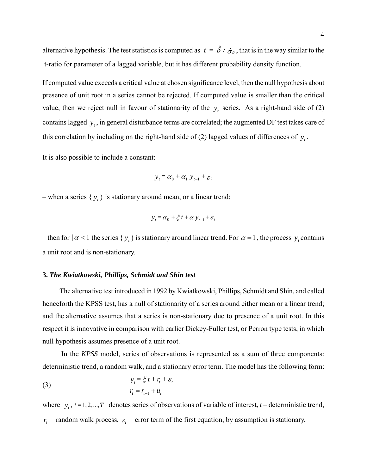alternative hypothesis. The test statistics is computed as  $t = \hat{\delta} / \hat{\sigma}_{\delta}$ , that is in the way similar to the t-ratio for parameter of a lagged variable, but it has different probability density function.

If computed value exceeds a critical value at chosen significance level, then the null hypothesis about presence of unit root in a series cannot be rejected. If computed value is smaller than the critical value, then we reject null in favour of stationarity of the  $y_t$  series. As a right-hand side of (2) contains lagged  $y_t$ , in general disturbance terms are correlated; the augmented DF test takes care of this correlation by including on the right-hand side of (2) lagged values of differences of  $y_t$ .

It is also possible to include a constant:

$$
y_t = \alpha_0 + \alpha_1 \ y_{t-1} + \varepsilon_t
$$

– when a series  $\{y_t\}$  is stationary around mean, or a linear trend:

$$
y_t = \alpha_0 + \xi t + \alpha y_{t-1} + \varepsilon_t
$$

– then for  $|\alpha| < 1$  the series  $\{y_t\}$  is stationary around linear trend. For  $\alpha = 1$ , the process  $y_t$  contains a unit root and is non-stationary.

### **3.** *The Kwiatkowski, Phillips, Schmidt and Shin test*

The alternative test introduced in 1992 by Kwiatkowski, Phillips, Schmidt and Shin, and called henceforth the KPSS test, has a null of stationarity of a series around either mean or a linear trend; and the alternative assumes that a series is non-stationary due to presence of a unit root. In this respect it is innovative in comparison with earlier Dickey-Fuller test, or Perron type tests, in which null hypothesis assumes presence of a unit root.

 In the *KPSS* model, series of observations is represented as a sum of three components: deterministic trend, a random walk, and a stationary error term. The model has the following form:

(3) 
$$
y_t = \xi t + r_t + \varepsilon_t
$$

$$
r_t = r_{t-1} + u_t
$$

where  $y_t$ ,  $t = 1, 2, \dots, T$  denotes series of observations of variable of interest,  $t$  – deterministic trend,  $r_t$  – random walk process,  $\varepsilon_t$  – error term of the first equation, by assumption is stationary,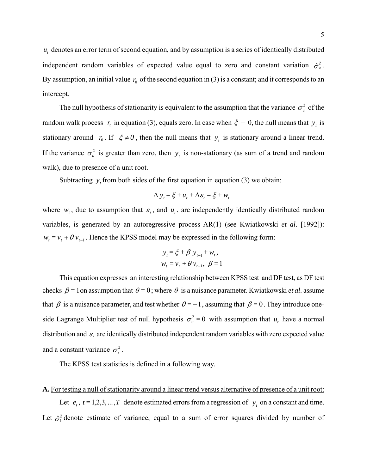$u_t$ , denotes an error term of second equation, and by assumption is a series of identically distributed independent random variables of expected value equal to zero and constant variation  $\hat{\sigma}_u^2$ . By assumption, an initial value  $r_0$  of the second equation in (3) is a constant; and it corresponds to an intercept.

The null hypothesis of stationarity is equivalent to the assumption that the variance  $\sigma_u^2$  of the random walk process  $r_t$  in equation (3), equals zero. In case when  $\xi = 0$ , the null means that  $y_t$  is stationary around  $r_0$ . If  $\xi \neq 0$ , then the null means that  $y_t$  is stationary around a linear trend. If the variance  $\sigma_u^2$  is greater than zero, then  $y_t$  is non-stationary (as sum of a trend and random walk), due to presence of a unit root.

Subtracting  $y_t$  from both sides of the first equation in equation (3) we obtain:

$$
\Delta y_t = \xi + u_t + \Delta \varepsilon_t = \xi + w_t
$$

where  $w_t$ , due to assumption that  $\varepsilon_t$ , and  $u_t$ , are independently identically distributed random variables, is generated by an autoregressive process AR(1) (see Kwiatkowski *et al*. [1992]):  $w_t = v_t + \theta v_{t-1}$ . Hence the KPSS model may be expressed in the following form:

$$
y_t = \xi + \beta y_{t-1} + w_t,
$$
  

$$
w_t = v_t + \theta v_{t-1}, \ \beta = 1
$$

This equation expresses an interesting relationship between KPSS test and DF test, as DF test checks  $\beta = 1$  on assumption that  $\theta = 0$ ; where  $\theta$  is a nuisance parameter. Kwiatkowski *et al.* assume that  $\beta$  is a nuisance parameter, and test whether  $\theta = -1$ , assuming that  $\beta = 0$ . They introduce oneside Lagrange Multiplier test of null hypothesis  $\sigma_u^2 = 0$  with assumption that  $u_t$  have a normal distribution and  $\varepsilon$  are identically distributed independent random variables with zero expected value and a constant variance  $\sigma_{\epsilon}^2$ .

The KPSS test statistics is defined in a following way.

### **A.** For testing a null of stationarity around a linear trend versus alternative of presence of a unit root:

Let  $e_t$ ,  $t = 1, 2, 3, \dots, T$  denote estimated errors from a regression of  $y_t$  on a constant and time. Let  $\hat{\sigma}_i^2$  denote estimate of variance, equal to a sum of error squares divided by number of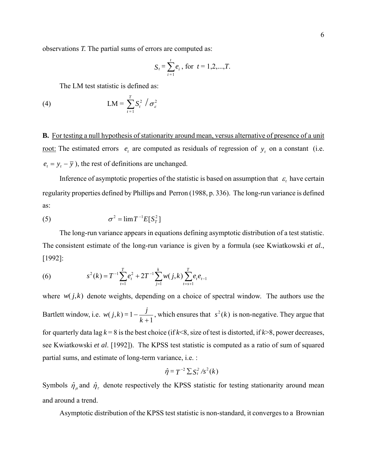observations *T.* The partial sums of errors are computed as:

$$
S_t = \sum_{i=1}^t e_i, \text{ for } t = 1, 2, \dots, T.
$$

 $\sim$  600  $\sim$  600  $\sim$  600  $\sim$  600  $\sim$  600  $\sim$  600  $\sim$  600  $\sim$  600  $\sim$  600  $\sim$  600  $\sim$  600  $\sim$  600  $\sim$  600  $\sim$  600  $\sim$  600  $\sim$  600  $\sim$  600  $\sim$  600  $\sim$  600  $\sim$  600  $\sim$  600  $\sim$  600  $\sim$  600  $\sim$  600  $\sim$ 

The LM test statistic is defined as:

$$
\text{(4)} \quad \text{LM} = \sum_{t=1}^{T} S_t^2 / \sigma_{\varepsilon}^2
$$

**B.** For testing a null hypothesis of stationarity around mean, versus alternative of presence of a unit <u>root:</u> The estimated errors  $e_t$  are computed as residuals of regression of  $y_t$  on a constant (i.e.  $e_t = y_t - \overline{y}$ , the rest of definitions are unchanged.

Inference of asymptotic properties of the statistic is based on assumption that  $\varepsilon_t$  have certain regularity properties defined by Phillips and Perron (1988, p. 336). The long-run variance is defined as:

$$
\sigma^2 = \lim T^{-1} E[S_T^2]
$$

The long-run variance appears in equations defining asymptotic distribution of a test statistic. The consistent estimate of the long-run variance is given by a formula (see Kwiatkowski *et al.*, [1992]:

(6) 
$$
s^{2}(k) = T^{-1} \sum_{t=1}^{T} e_{t}^{2} + 2T^{-1} \sum_{j=1}^{k} w(j,k) \sum_{t=s+1}^{T} e_{t} e_{t-1}
$$

where  $w(j,k)$  denote weights, depending on a choice of spectral window. The authors use the Bartlett window, i.e.  $w(j,k) = 1 - \frac{j}{k+1}$ , which ensures that  $s^2(k)$  is non-negative. They argue that for quarterly data lag  $k = 8$  is the best choice (if  $k < 8$ , size of test is distorted, if  $k > 8$ , power decreases, see Kwiatkowski *et al*. [1992]). The KPSS test statistic is computed as a ratio of sum of squared partial sums, and estimate of long-term variance, i.e. :

$$
\hat{\eta} = T^{-2} \sum S_t^2 / s^2(k)
$$

Symbols  $\hat{\eta}_{\mu}$  and  $\hat{\eta}_{\tau}$  denote respectively the KPSS statistic for testing stationarity around mean and around a trend.

Asymptotic distribution of the KPSS test statistic is non-standard, it converges to a Brownian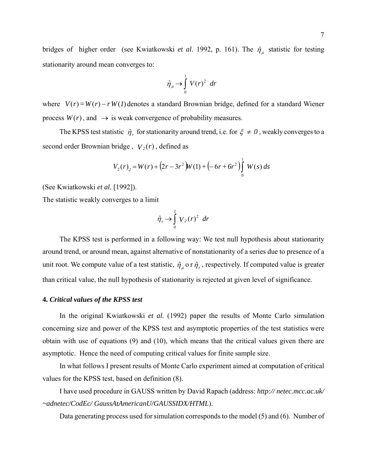bridges of higher order (see Kwiatkowski *et al.* 1992, p. 161). The  $\hat{\eta}_{\mu}$  statistic for testing stationarity around mean converges to:

$$
\hat{\eta}_{\mu} \rightarrow \int_{0}^{1} V(r)^{2} dr
$$

where  $V(r) = W(r) - r W(l)$  denotes a standard Brownian bridge, defined for a standard Wiener process  $W(r)$ , and  $\rightarrow$  is weak convergence of probability measures.

The KPSS test statistic  $\hat{\eta}_\tau$  for stationarity around trend, i.e. for  $\xi \neq 0$ , weakly converges to a second order Brownian bridge,  $V_2(r)$ , defined as

$$
V_2(r)_2 = W(r) + (2r - 3r^2)W(1) + (-6r + 6r^2) \int_0^1 W(s) ds
$$

(See Kwiatkowski *et al.* [1992]).

The statistic weakly converges to a limit

$$
\hat{\eta}_r \rightarrow \int_0^l V_2(r)^2 dr
$$

The KPSS test is performed in a following way: We test null hypothesis about stationarity around trend, or around mean, against alternative of nonstationarity of a series due to presence of a unit root. We compute value of a test statistic,  $\hat{\eta}_{\mu}$  o r  $\hat{\eta}_{\tau}$ , respectively. If computed value is greater than critical value, the null hypothesis of stationarity is rejected at given level of significance.

### **4.** *Critical values of the KPSS test*

In the original Kwiatkowski *et al*. (1992) paper the results of Monte Carlo simulation concerning size and power of the KPSS test and asymptotic properties of the test statistics were obtain with use of equations (9) and (10), which means that the critical values given there are asymptotic. Hence the need of computing critical values for finite sample size.

In what follows I present results of Monte Carlo experiment aimed at computation of critical values for the KPSS test, based on definition (8).

I have used procedure in GAUSS written by David Rapach (address: *http:// netec.mcc.ac.uk/ ~adnetec/CodEc/ GaussAtAmericanU/GAUSSIDX/HTML*).

Data generating process used for simulation corresponds to the model (5) and (6). Number of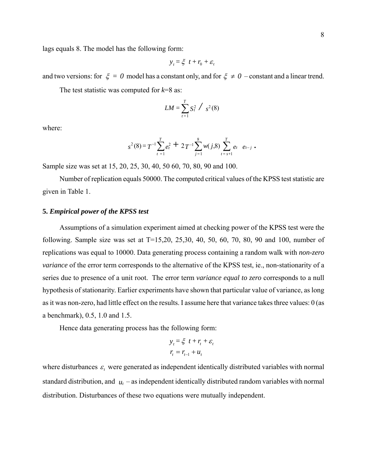lags equals 8. The model has the following form:

$$
y_t = \xi \ t + r_0 + \varepsilon_t
$$

and two versions: for  $\xi = 0$  model has a constant only, and for  $\xi \neq 0$  – constant and a linear trend.

The test statistic was computed for *k*=8 as:

$$
LM = \sum_{t=1}^{T} S_t^2 / s^2(8)
$$

where:

$$
s^{2}(8) = T^{-1} \sum_{t=1}^{T} e_{t}^{2} + 2 T^{-1} \sum_{j=1}^{8} w(j,8) \sum_{t=s+1}^{T} e_{t} e_{t-j}.
$$

Sample size was set at 15, 20, 25, 30, 40, 50 60, 70, 80, 90 and 100.

Number of replication equals 50000. The computed critical values of the KPSS test statistic are given in Table 1.

#### **5.** *Empirical power of the KPSS test*

Assumptions of a simulation experiment aimed at checking power of the KPSS test were the following. Sample size was set at T=15,20, 25,30, 40, 50, 60, 70, 80, 90 and 100, number of replications was equal to 10000. Data generating process containing a random walk with *non-zero variance* of the error term corresponds to the alternative of the KPSS test, ie., non-stationarity of a series due to presence of a unit root. The error term *variance equal to zero* corresponds to a null hypothesis of stationarity. Earlier experiments have shown that particular value of variance, as long as it was non-zero, had little effect on the results. I assume here that variance takes three values: 0 (as a benchmark), 0.5, 1.0 and 1.5.

Hence data generating process has the following form:

$$
y_t = \xi \ t + r_t + \varepsilon_t
$$

$$
r_t = r_{t-1} + u_t
$$

where disturbances  $\varepsilon$ , were generated as independent identically distributed variables with normal standard distribution, and  $u_t$  – as independent identically distributed random variables with normal distribution. Disturbances of these two equations were mutually independent.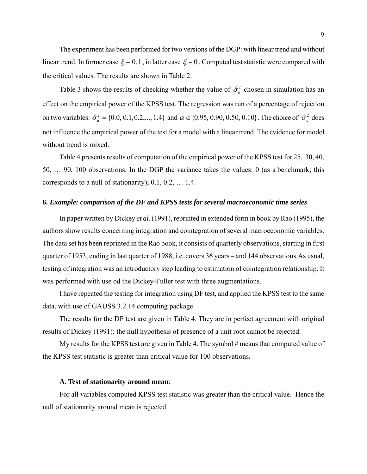The experiment has been performed for two versions of the DGP: with linear trend and without linear trend. In former case ξ *=* 0.1, in latter case ξ *=*0 . Computed test statistic were compared with the critical values. The results are shown in Table 2.

Table 3 shows the results of checking whether the value of  $\hat{\sigma}_u^2$  chosen in simulation has an effect on the empirical power of the KPSS test. The regression was run of a percentage of rejection on two variables:  $\hat{\sigma}_u^2 = \{0.0, 0.1, 0.2, ..., 1.4\}$  and  $\alpha \in \{0.95, 0.90, 0.50, 0.10\}$ . The choice of  $\hat{\sigma}_u^2$  does not influence the empirical power of the test for a model with a linear trend. The evidence for model without trend is mixed.

Table 4 presents results of computation of the empirical power of the KPSS test for 25, 30, 40, 50, … 90, 100 observations. In the DGP the variance takes the values: 0 (as a benchmark; this corresponds to a null of stationarity); 0.1, 0.2, … 1.4.

#### **6.** *Example: comparison of the DF and KPSS tests for several macroeconomic time series*

In paper written by Dickey *et al.* (1991), reprinted in extended form in book by Rao (1995), the authors show results concerning integration and cointegration of several macroeconomic variables. The data set has been reprinted in the Rao book, it consists of quarterly observations, starting in first quarter of 1953, ending in last quarter of 1988, i.e. covers 36 years – and 144 observations.As usual, testing of integration was an introductory step leading to estimation of cointegration relationship. It was performed with use od the Dickey-Fuller test with three augmentations.

I have repeated the testing for integration using DF test, and applied the KPSS test to the same data, with use of GAUSS 3.2.14 computing package.

The results for the DF test are given in Table 4. They are in perfect agreement with original results of Dickey (1991): the null hypothesis of presence of a unit root cannot be rejected.

My results for the KPSS test are given in Table 4. The symbol # means that computed value of the KPSS test statistic is greater than critical value for 100 observations.

### **A. Test of stationarity around mean**:

For all variables computed KPSS test statistic was greater than the critical value. Hence the null of stationarity around mean is rejected.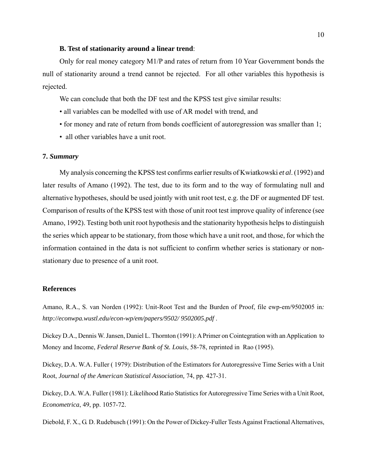### **B. Test of stationarity around a linear trend**:

Only for real money category M1/P and rates of return from 10 Year Government bonds the null of stationarity around a trend cannot be rejected. For all other variables this hypothesis is rejected.

We can conclude that both the DF test and the KPSS test give similar results:

- all variables can be modelled with use of AR model with trend, and
- for money and rate of return from bonds coefficient of autoregression was smaller than 1;
- all other variables have a unit root.

#### **7.** *Summary*

My analysis concerning the KPSS test confirms earlier results of Kwiatkowski *et al*. (1992) and later results of Amano (1992). The test, due to its form and to the way of formulating null and alternative hypotheses, should be used jointly with unit root test, e.g. the DF or augmented DF test. Comparison of results of the KPSS test with those of unit root test improve quality of inference (see Amano, 1992). Testing both unit root hypothesis and the stationarity hypothesis helps to distinguish the series which appear to be stationary, from those which have a unit root, and those, for which the information contained in the data is not sufficient to confirm whether series is stationary or nonstationary due to presence of a unit root.

#### **References**

Amano, R.A., S. van Norden (1992): Unit-Root Test and the Burden of Proof, file ewp-em/9502005 in*: http://econwpa.wustl.edu/econ-wp/em/papers/9502/ 9502005.pdf* .

Dickey D.A., Dennis W. Jansen, Daniel L. Thornton (1991): A Primer on Cointegration with an Application to Money and Income, *Federal Reserve Bank of St. Louis*, 58-78, reprinted in Rao (1995).

Dickey, D.A. W.A. Fuller ( 1979): Distribution of the Estimators for Autoregressive Time Series with a Unit Root, *Journal of the American Statistical Association,* 74, pp. 427-31.

Dickey, D.A. W.A. Fuller (1981): Likelihood Ratio Statistics for Autoregressive Time Series with a Unit Root, *Econometrica*, 49, pp. 1057-72.

Diebold, F. X., G. D. Rudebusch (1991): On the Power of Dickey-Fuller Tests Against Fractional Alternatives,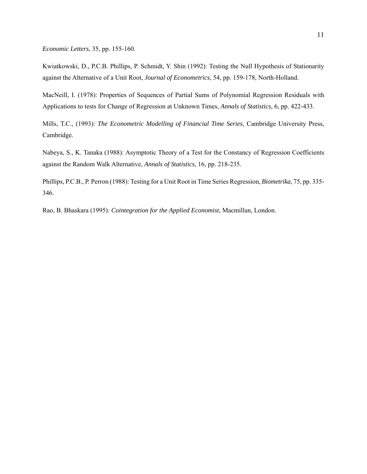*Economic Letters*, 35, pp. 155-160.

Kwiatkowski, D., P.C.B. Phillips, P. Schmidt, Y. Shin (1992): Testing the Null Hypothesis of Stationarity against the Alternative of a Unit Root, *Journal of Econometrics*, 54, pp. 159-178, North-Holland.

MacNeill, I. (1978): Properties of Sequences of Partial Sums of Polynomial Regression Residuals with Applications to tests for Change of Regression at Unknown Times, *Annals of Statistics*, 6, pp. 422-433.

Mills, T.C., (1993): *The Econometric Modelling of Financial Time Series*, Cambridge University Press, Cambridge.

Nabeya, S., K. Tanaka (1988): Asymptotic Theory of a Test for the Constancy of Regression Coefficients against the Random Walk Alternative, *Annals of Statistics*, 16, pp. 218-235.

Phillips, P.C.B., P. Perron (1988): Testing for a Unit Root in Time Series Regression, *Biometrika*, 75, pp. 335- 346.

Rao, B. Bhaskara (1995): *Cointegration for the Applied Economist*, Macmillan, London.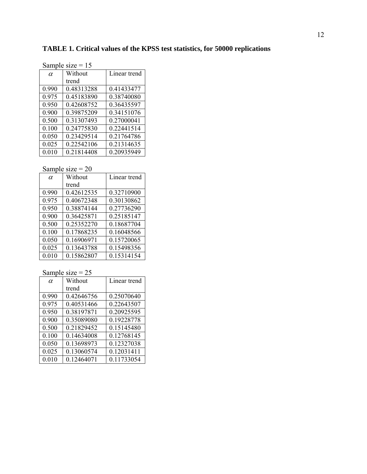| Sample size $= 15$ |            |              |
|--------------------|------------|--------------|
| $\alpha$           | Without    | Linear trend |
|                    | trend      |              |
| 0.990              | 0.48313288 | 0.41433477   |
| 0.975              | 0.45183890 | 0.38740080   |
| 0.950              | 0.42608752 | 0.36435597   |
| 0.900              | 0.39875209 | 0.34151076   |
| 0.500              | 0.31307493 | 0.27000041   |
| 0.100              | 0.24775830 | 0.22441514   |
| 0.050              | 0 23429514 | 0.21764786   |
| 0.025              | 0.22542106 | 0.21314635   |
| 0.010              | 0 21814408 | 0.20935949   |

## **TABLE 1. Critical values of the KPSS test statistics, for 50000 replications**

# Sample size  $= 20$

| $\alpha$ | Without    | Linear trend |
|----------|------------|--------------|
|          | trend      |              |
| 0.990    | 0.42612535 | 0.32710900   |
| 0.975    | 0.40672348 | 0.30130862   |
| 0.950    | 0.38874144 | 0.27736290   |
| 0.900    | 0.36425871 | 0.25185147   |
| 0.500    | 0.25352270 | 0.18687704   |
| 0.100    | 0.17868235 | 0.16048566   |
| 0.050    | 0.16906971 | 0.15720065   |
| 0.025    | 0.13643788 | 0.15498356   |
| 0.010    | 0.15862807 | 0.15314154   |

| $\alpha$ | Without    | Linear trend |
|----------|------------|--------------|
|          | trend      |              |
| 0.990    | 0.42646756 | 0.25070640   |
| 0.975    | 0.40531466 | 0.22643507   |
| 0.950    | 0.38197871 | 0.20925595   |
| 0.900    | 0.35089080 | 0.19228778   |
| 0.500    | 0.21829452 | 0.15145480   |
| 0.100    | 0.14634008 | 0.12768145   |
| 0.050    | 0.13698973 | 0.12327038   |
| 0.025    | 0.13060574 | 0.12031411   |
| 0.010    | 0.12464071 | 0.11733054   |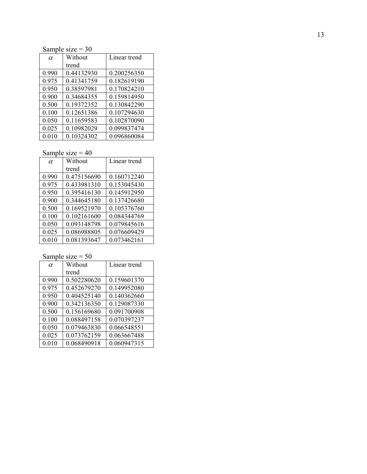Sample size  $= 30$ 

| $\alpha$ | Without    | Linear trend |
|----------|------------|--------------|
|          | trend      |              |
| 0.990    | 0.44132930 | 0.200256350  |
| 0.975    | 0.41341759 | 0.182619190  |
| 0.950    | 0.38597981 | 0.170824210  |
| 0.900    | 0.34684355 | 0.159814950  |
| 0.500    | 0.19372352 | 0.130842290  |
| 0.100    | 0.12651386 | 0.107294630  |
| 0.050    | 0.11659583 | 0.102870090  |
| 0.025    | 0.10982029 | 0.099837474  |
| 0.010    | 0.10324302 | 0.096860084  |

# Sample size  $= 40$

| $\alpha$ | Without     | Linear trend |  |
|----------|-------------|--------------|--|
|          | trend       |              |  |
| 0.990    | 0.475156690 | 0.160712240  |  |
| 0.975    | 0.433981310 | 0.153045430  |  |
| 0.950    | 0.395416130 | 0.145912950  |  |
| 0.900    | 0.344645180 | 0.137426680  |  |
| 0.500    | 0.169521970 | 0.105376760  |  |
| 0.100    | 0.102161600 | 0.084344769  |  |
| 0.050    | 0.093148798 | 0.079845616  |  |
| 0.025    | 0.086988805 | 0.076609429  |  |
| 0.010    | 0.081393647 | 0.073462161  |  |

| $\alpha$ | Without     | Linear trend |  |
|----------|-------------|--------------|--|
|          | trend       |              |  |
| 0.990    | 0.502280620 | 0.159601370  |  |
| 0.975    | 0.452679270 | 0.149952080  |  |
| 0.950    | 0.404525140 | 0.140362660  |  |
| 0.900    | 0.342136350 | 0.129087330  |  |
| 0.500    | 0.156169680 | 0.091700908  |  |
| 0.100    | 0.088497158 | 0.070397237  |  |
| 0.050    | 0.079463830 | 0.066548551  |  |
| 0.025    | 0.073762159 | 0.063667488  |  |
| 0.010    | 0.068490918 | 0.060947315  |  |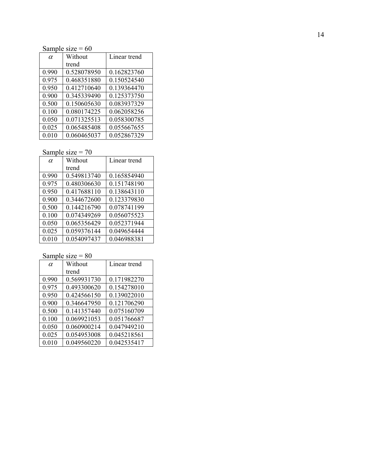Sample size  $= 60$ 

| $\alpha$ | Without     | Linear trend |
|----------|-------------|--------------|
|          | trend       |              |
| 0.990    | 0.528078950 | 0.162823760  |
| 0.975    | 0.468351880 | 0.150524540  |
| 0.950    | 0.412710640 | 0.139364470  |
| 0.900    | 0.345339490 | 0.125373750  |
| 0.500    | 0.150605630 | 0.083937329  |
| 0.100    | 0.080174225 | 0.062058256  |
| 0.050    | 0.071325513 | 0.058300785  |
| 0.025    | 0.065485408 | 0.055667655  |
| 0.010    | 0.060465037 | 0.052867329  |

Sample size  $= 70$ 

| $\alpha$ | Without     | Linear trend |
|----------|-------------|--------------|
|          | trend       |              |
| 0.990    | 0.549813740 | 0.165854940  |
| 0.975    | 0.480306630 | 0.151748190  |
| 0.950    | 0.417688110 | 0.138643110  |
| 0.900    | 0.344672600 | 0.123379830  |
| 0.500    | 0.144216790 | 0.078741199  |
| 0.100    | 0.074349269 | 0.056075523  |
| 0.050    | 0.065356429 | 0.052371944  |
| 0.025    | 0.059376144 | 0.049654444  |
| 0.010    | 0.054097437 | 0.046988381  |

| $\alpha$ | Without     | Linear trend |
|----------|-------------|--------------|
|          | trend       |              |
| 0.990    | 0.569931730 | 0.171982270  |
| 0.975    | 0.493300620 | 0.154278010  |
| 0.950    | 0.424566150 | 0.139022010  |
| 0.900    | 0.346647950 | 0.121706290  |
| 0.500    | 0.141357440 | 0.075160709  |
| 0.100    | 0.069921053 | 0.051766687  |
| 0.050    | 0.060900214 | 0.047949210  |
| 0.025    | 0.054953008 | 0.045218561  |
| 0.010    | 0.049560220 | 0.042535417  |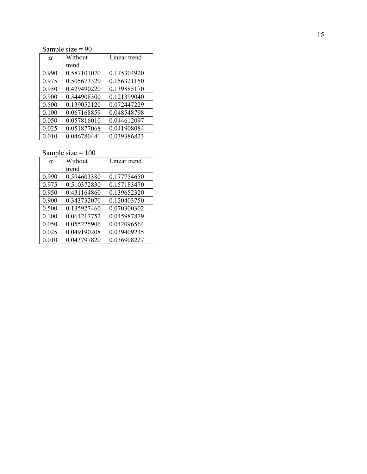Sample size  $= 90$ 

| $\alpha$ | Without     | Linear trend |
|----------|-------------|--------------|
|          | trend       |              |
| 0.990    | 0.587101070 | 0.175304920  |
| 0.975    | 0.505673320 | 0.156321150  |
| 0.950    | 0.429490220 | 0.139885170  |
| 0.900    | 0.344908300 | 0.121399040  |
| 0.500    | 0.139052120 | 0.072447229  |
| 0.100    | 0.067168859 | 0.048548798  |
| 0.050    | 0.057816010 | 0.044612097  |
| 0.025    | 0.051877068 | 0.041908084  |
| 0.010    | 0.046780441 | 0.039386823  |

| $\alpha$ | Without     | Linear trend |
|----------|-------------|--------------|
|          | trend       |              |
| 0.990    | 0.594603380 | 0.177754650  |
| 0.975    | 0.510372830 | 0.157183470  |
| 0.950    | 0.431164860 | 0.139652320  |
| 0.900    | 0.343732070 | 0.120403750  |
| 0.500    | 0.135927460 | 0.070300302  |
| 0.100    | 0.064217752 | 0.045987879  |
| 0.050    | 0.055225906 | 0.042096564  |
| 0.025    | 0.049190208 | 0.039409235  |
| 0.010    | 0.043797820 | 0.036908227  |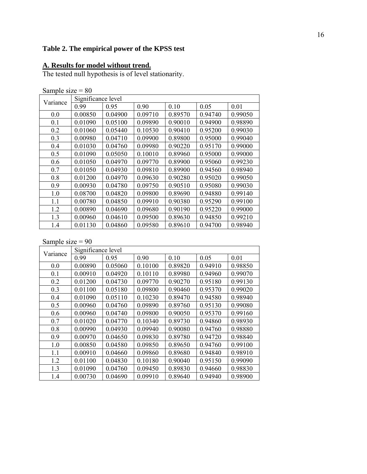# **Table 2. The empirical power of the KPSS test**

#### **A. Results for model without trend.**

The tested null hypothesis is of level stationarity.

| Sample size $= 80$ |  |
|--------------------|--|
|                    |  |

| Variance | Significance level |         |         |         |         |         |  |
|----------|--------------------|---------|---------|---------|---------|---------|--|
|          | 0.99               | 0.95    | 0.90    | 0.10    | 0.05    | 0.01    |  |
| 0.0      | 0.00850            | 0.04900 | 0.09710 | 0.89570 | 0.94740 | 0.99050 |  |
| 0.1      | 0.01090            | 0.05100 | 0.09890 | 0.90010 | 0.94900 | 0.98890 |  |
| 0.2      | 0.01060            | 0.05440 | 0.10530 | 0.90410 | 0.95200 | 0.99030 |  |
| 0.3      | 0.00980            | 0.04710 | 0.09900 | 0.89800 | 0.95000 | 0.99040 |  |
| 0.4      | 0.01030            | 0.04760 | 0.09980 | 0.90220 | 0.95170 | 0.99000 |  |
| 0.5      | 0.01090            | 0.05050 | 0.10010 | 0.89960 | 0.95000 | 0.99000 |  |
| 0.6      | 0.01050            | 0.04970 | 0.09770 | 0.89900 | 0.95060 | 0.99230 |  |
| 0.7      | 0.01050            | 0.04930 | 0.09810 | 0.89900 | 0.94560 | 0.98940 |  |
| 0.8      | 0.01200            | 0.04970 | 0.09630 | 0.90280 | 0.95020 | 0.99050 |  |
| 0.9      | 0.00930            | 0.04780 | 0.09750 | 0.90510 | 0.95080 | 0.99030 |  |
| 1.0      | 0.08700            | 0.04820 | 0.09800 | 0.89690 | 0.94880 | 0.99140 |  |
| 1.1      | 0.00780            | 0.04850 | 0.09910 | 0.90380 | 0.95290 | 0.99100 |  |
| 1.2      | 0.00890            | 0.04690 | 0.09680 | 0.90190 | 0.95220 | 0.99000 |  |
| 1.3      | 0.00960            | 0.04610 | 0.09500 | 0.89630 | 0.94850 | 0.99210 |  |
| 1.4      | 0.01130            | 0.04860 | 0.09580 | 0.89610 | 0.94700 | 0.98940 |  |

| Variance | Significance level |         |         |         |         |         |  |
|----------|--------------------|---------|---------|---------|---------|---------|--|
|          | 0.99               | 0.95    | 0.90    | 0.10    | 0.05    | 0.01    |  |
| 0.0      | 0.00890            | 0.05060 | 0.10100 | 0.89820 | 0.94910 | 0.98850 |  |
| 0.1      | 0.00910            | 0.04920 | 0.10110 | 0.89980 | 0.94960 | 0.99070 |  |
| 0.2      | 0.01200            | 0.04730 | 0.09770 | 0.90270 | 0.95180 | 0.99130 |  |
| 0.3      | 0.01100            | 0.05180 | 0.09800 | 0.90460 | 0.95370 | 0.99020 |  |
| 0.4      | 0.01090            | 0.05110 | 0.10230 | 0.89470 | 0.94580 | 0.98940 |  |
| 0.5      | 0.00960            | 0.04760 | 0.09890 | 0.89760 | 0.95130 | 0.99080 |  |
| 0.6      | 0.00960            | 0.04740 | 0.09800 | 0.90050 | 0.95370 | 0.99160 |  |
| 0.7      | 0.01020            | 0.04770 | 0.10340 | 0.89730 | 0.94860 | 0.98930 |  |
| 0.8      | 0.00990            | 0.04930 | 0.09940 | 0.90080 | 0.94760 | 0.98880 |  |
| 0.9      | 0.00970            | 0.04650 | 0.09830 | 0.89780 | 0.94720 | 0.98840 |  |
| 1.0      | 0.00850            | 0.04580 | 0.09850 | 0.89650 | 0.94760 | 0.99100 |  |
| 1.1      | 0.00910            | 0.04660 | 0.09860 | 0.89680 | 0.94840 | 0.98910 |  |
| 1.2      | 0.01100            | 0.04830 | 0.10180 | 0.90040 | 0.95150 | 0.99090 |  |
| 1.3      | 0.01090            | 0.04760 | 0.09450 | 0.89830 | 0.94660 | 0.98830 |  |
| 1.4      | 0.00730            | 0.04690 | 0.09910 | 0.89640 | 0.94940 | 0.98900 |  |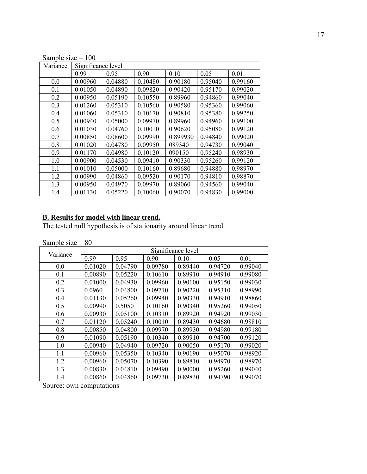| Sample size $= 100$ |                    |         |         |          |         |         |
|---------------------|--------------------|---------|---------|----------|---------|---------|
| Variance            | Significance level |         |         |          |         |         |
|                     | 0.99               | 0.95    | 0.90    | 0.10     | 0.05    | 0.01    |
| 0.0                 | 0.00960            | 0.04880 | 0.10480 | 0.90180  | 0.95040 | 0.99160 |
| 0.1                 | 0.01050            | 0.04890 | 0.09820 | 0.90420  | 0.95170 | 0.99020 |
| 0.2                 | 0.00950            | 0.05190 | 0.10550 | 0.89960  | 0.94860 | 0.99040 |
| 0.3                 | 0.01260            | 0.05310 | 0.10560 | 0.90580  | 0.95360 | 0.99060 |
| 0.4                 | 0.01060            | 0.05310 | 0.10170 | 0.90810  | 0.95380 | 0.99250 |
| 0.5                 | 0.00940            | 0.05000 | 0.09970 | 0.89960  | 0.94960 | 0.99100 |
| 0.6                 | 0.01030            | 0.04760 | 0.10010 | 0.90620  | 0.95080 | 0.99120 |
| 0.7                 | 0.00850            | 0.08600 | 0.09990 | 0.899930 | 0.94840 | 0.99020 |
| 0.8                 | 0.01020            | 0.04780 | 0.09950 | 089340   | 0.94730 | 0.99040 |
| 0.9                 | 0.01170            | 0.04980 | 0.10120 | 090150   | 0.95240 | 0.98930 |
| 1.0                 | 0.00900            | 0.04530 | 0.09410 | 0.90330  | 0.95260 | 0.99120 |
| 1.1                 | 0.01010            | 0.05000 | 0.10160 | 0.89680  | 0.94880 | 0.98970 |
| 1.2                 | 0.00990            | 0.04860 | 0.09520 | 0.90170  | 0.94810 | 0.98870 |
| 1.3                 | 0.00950            | 0.04970 | 0.09970 | 0.89060  | 0.94560 | 0.99040 |
| 1.4                 | 0.01130            | 0.05220 | 0.10060 | 0.90070  | 0.94830 | 0.99000 |

#### **B. Results for model with linear trend.**

The tested null hypothesis is of stationarity around linear trend

| Sample size $= 80$ |  |
|--------------------|--|
|                    |  |

| Variance | Significance level |         |         |         |         |         |
|----------|--------------------|---------|---------|---------|---------|---------|
|          | 0.99               | 0.95    | 0.90    | 0.10    | 0.05    | 0.01    |
| 0.0      | 0.01020            | 0.04790 | 0.09780 | 0.89440 | 0.94720 | 0.99040 |
| 0.1      | 0.00890            | 0.05220 | 0.10610 | 0.89910 | 0.94910 | 0.99080 |
| 0.2      | 0.01000            | 0.04930 | 0.09960 | 0.90100 | 0.95150 | 0.99030 |
| 0.3      | 0.0960             | 0.04800 | 0.09710 | 0.90220 | 0.95310 | 0.98990 |
| 0.4      | 0.01130            | 0.05260 | 0.09940 | 0.90330 | 0.94910 | 0.98860 |
| 0.5      | 0.00990            | 0.5050  | 0.10160 | 0.90340 | 0.95260 | 0.99050 |
| 0.6      | 0.00930            | 0.05100 | 0.10310 | 0.89920 | 0.94920 | 0.99030 |
| 0.7      | 0.01120            | 0.05240 | 0.10010 | 0.89430 | 0.94680 | 0.98810 |
| 0.8      | 0.00850            | 0.04800 | 0.09970 | 0.89930 | 0.94980 | 0.99180 |
| 0.9      | 0.01090            | 0.05190 | 0.10340 | 0.89910 | 0.94700 | 0.99120 |
| 1.0      | 0.00940            | 0.04940 | 0.09720 | 0.90050 | 0.95170 | 0.99020 |
| 1.1      | 0.00960            | 0.05350 | 0.10340 | 0.90190 | 0.95070 | 0.98920 |
| 1.2      | 0.00960            | 0.05070 | 0.10390 | 0.89810 | 0.94970 | 0.98970 |
| 1.3      | 0.00830            | 0.04810 | 0.09490 | 0.90000 | 0.95260 | 0.99040 |
| 1.4      | 0.00860            | 0.04860 | 0.09730 | 0.89830 | 0.94790 | 0.99070 |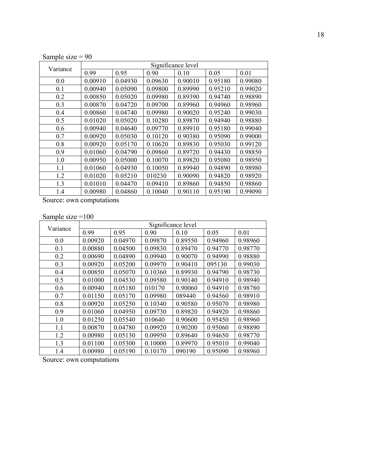| Sample size $= 90$ |  |
|--------------------|--|

| Variance | Significance level |         |         |         |         |         |
|----------|--------------------|---------|---------|---------|---------|---------|
|          | 0.99               | 0.95    | 0.90    | 0.10    | 0.05    | 0.01    |
| 0.0      | 0.00910            | 0.04930 | 0.09630 | 0.90010 | 0.95180 | 0.99080 |
| 0.1      | 0.00940            | 0.05090 | 0.09800 | 0.89990 | 0.95210 | 0.99020 |
| 0.2      | 0.00850            | 0.05020 | 0.09980 | 0.89390 | 0.94740 | 0.98890 |
| 0.3      | 0.00870            | 0.04720 | 0.09700 | 0.89960 | 0.94960 | 0.98960 |
| 0.4      | 0.00860            | 0.04740 | 0.09980 | 0.90020 | 0.95240 | 0.99030 |
| 0.5      | 0.01020            | 0.05020 | 0.10280 | 0.89870 | 0.94940 | 0.98880 |
| 0.6      | 0.00940            | 0.04640 | 0.09770 | 0.89910 | 0.95180 | 0.99040 |
| 0.7      | 0.00920            | 0.05030 | 0.10120 | 0.90380 | 0.95090 | 0.99000 |
| 0.8      | 0.00920            | 0.05170 | 0.10620 | 0.89830 | 0.95030 | 0.99120 |
| 0.9      | 0.01060            | 0.04790 | 0.09860 | 0.89720 | 0.94430 | 0.98850 |
| 1.0      | 0.00950            | 0.05000 | 0.10070 | 0.89820 | 0.95080 | 0.98950 |
| 1.1      | 0.01060            | 0.04930 | 0.10050 | 0.89940 | 0.94890 | 0.98980 |
| 1.2      | 0.01020            | 0.05210 | 010230  | 0.90090 | 0.94820 | 0.98920 |
| 1.3      | 0.01010            | 0.04470 | 0.09410 | 0.89860 | 0.94850 | 0.98860 |
| 1.4      | 0.00980            | 0.04860 | 0.10040 | 0.90110 | 0.95190 | 0.99090 |

Source: own computations

Sample size =100

| Variance | Significance level |         |         |         |         |         |
|----------|--------------------|---------|---------|---------|---------|---------|
|          | 0.99               | 0.95    | 0.90    | 0.10    | 0.05    | 0.01    |
| 0.0      | 0.00920            | 0.04970 | 0.09870 | 0.89550 | 0.94960 | 0.98960 |
| 0.1      | 0.00880            | 0.04500 | 0.09830 | 0.89470 | 0.94770 | 0.98770 |
| 0.2      | 0.00690            | 0.04890 | 0.09940 | 0.90070 | 0.94990 | 0.98880 |
| 0.3      | 0.00920            | 0.05200 | 0.09970 | 0.90410 | 095130  | 0.99030 |
| 0.4      | 0.00850            | 0.05070 | 0.10360 | 0.89930 | 0.94790 | 0.98730 |
| 0.5      | 0.01000            | 0.04530 | 0.09580 | 0.90140 | 0.94910 | 0.98940 |
| 0.6      | 0.00940            | 0.05180 | 010170  | 0.90060 | 0.94910 | 0.98780 |
| 0.7      | 0.01150            | 0.05170 | 0.09980 | 089440  | 0.94560 | 0.98910 |
| 0.8      | 0.00920            | 0.05250 | 0.10340 | 0.90580 | 0.95070 | 0.98980 |
| 0.9      | 0.01060            | 0.04950 | 0.09730 | 0.89820 | 0.94920 | 0.98860 |
| 1.0      | 0.01250            | 0.05540 | 010640  | 0.90600 | 0.95450 | 0.98960 |
| 1.1      | 0.00870            | 0.04780 | 0.09920 | 0.90200 | 0.95060 | 0.98890 |
| 1.2      | 0.00980            | 0.05130 | 0.09950 | 0.89640 | 0.94650 | 0.98770 |
| 1.3      | 0.01100            | 0.05300 | 0.10000 | 0.89970 | 0.95010 | 0.99040 |
| 1.4      | 0.00980            | 0.05190 | 0.10170 | 090190  | 0.95090 | 0.98960 |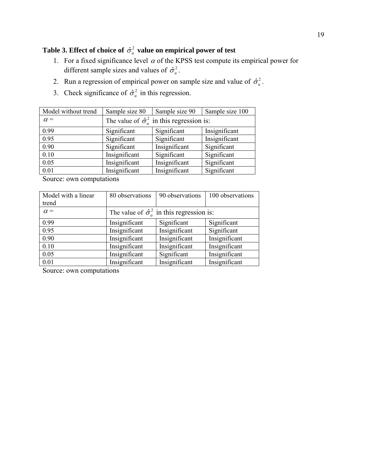# **Table 3. Effect of choice of**  $\hat{\sigma}_u^2$  **value on empirical power of test**

- 1. For a fixed significance level  $\alpha$  of the KPSS test compute its empirical power for different sample sizes and values of  $\hat{\sigma}_u^2$ .
- 2. Run a regression of empirical power on sample size and value of  $\hat{\sigma}_u^2$ .
- 3. Check significance of  $\hat{\sigma}_u^2$  in this regression.

| Model without trend | Sample size 80                                         | Sample size 90 | Sample size 100 |  |  |
|---------------------|--------------------------------------------------------|----------------|-----------------|--|--|
| $\alpha =$          | The value of $\hat{\sigma}_u^2$ in this regression is: |                |                 |  |  |
| 0.99                | Significant                                            | Significant    | Insignificant   |  |  |
| 0.95                | Significant                                            | Significant    | Insignificant   |  |  |
| 0.90                | Significant                                            | Insignificant  | Significant     |  |  |
| 0.10                | Insignificant                                          | Significant    | Significant     |  |  |
| 0.05                | Insignificant                                          | Insignificant  | Significant     |  |  |
| 0.01                | Insignificant                                          | Insignificant  | Significant     |  |  |

Source: own computations

| Model with a linear | 80 observations | 90 observations                                        | 100 observations |
|---------------------|-----------------|--------------------------------------------------------|------------------|
| trend               |                 |                                                        |                  |
| $\alpha =$          |                 | The value of $\hat{\sigma}_u^2$ in this regression is: |                  |
| 0.99                | Insignificant   | Significant                                            | Significant      |
| 0.95                | Insignificant   | Insignificant                                          | Significant      |
| 0.90                | Insignificant   | Insignificant                                          | Insignificant    |
| 0.10                | Insignificant   | Insignificant                                          | Insignificant    |
| 0.05                | Insignificant   | Significant                                            | Insignificant    |
| 0.01                | Insignificant   | Insignificant                                          | Insignificant    |